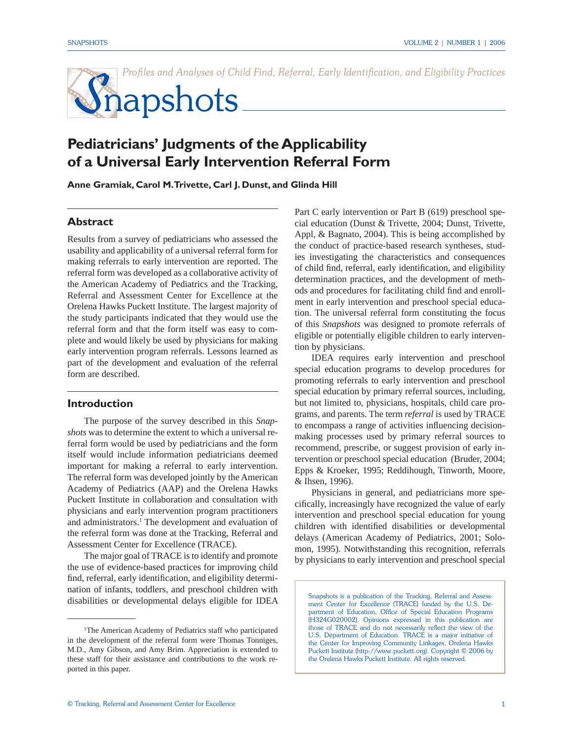Profiles and Analyses of Child Find, Referral, Early Identification, and Eligibility Practices

# Snapshots

# **Pediatricians' Judgments of the Applicability of a Universal Early Intervention Referral Form**

**Anne Gramiak, Carol M. Trivette, Carl J. Dunst, and Glinda Hill** 

# **Abstract**

Results from a survey of pediatricians who assessed the usability and applicability of a universal referral form for making referrals to early intervention are reported. The referral form was developed as a collaborative activity of the American Academy of Pediatrics and the Tracking, Referral and Assessment Center for Excellence at the Orelena Hawks Puckett Institute. The largest majority of the study participants indicated that they would use the referral form and that the form itself was easy to complete and would likely be used by physicians for making early intervention program referrals. Lessons learned as part of the development and evaluation of the referral form are described.

#### **Introduction**

 The purpose of the survey described in this *Snapshots* was to determine the extent to which a universal referral form would be used by pediatricians and the form itself would include information pediatricians deemed important for making a referral to early intervention. The referral form was developed jointly by the American Academy of Pediatrics (AAP) and the Orelena Hawks Puckett Institute in collaboration and consultation with physicians and early intervention program practitioners and administrators.<sup>1</sup> The development and evaluation of the referral form was done at the Tracking, Referral and Assessment Center for Excellence (TRACE).

 The major goal of TRACE is to identify and promote the use of evidence-based practices for improving child find, referral, early identification, and eligibility determination of infants, toddlers, and preschool children with disabilities or developmental delays eligible for IDEA Part C early intervention or Part B (619) preschool special education (Dunst & Trivette, 2004; Dunst, Trivette, Appl, & Bagnato, 2004). This is being accomplished by the conduct of practice-based research syntheses, studies investigating the characteristics and consequences of child find, referral, early identification, and eligibility determination practices, and the development of methods and procedures for facilitating child find and enrollment in early intervention and preschool special education. The universal referral form constituting the focus of this *Snapshots* was designed to promote referrals of eligible or potentially eligible children to early intervention by physicians.

 IDEA requires early intervention and preschool special education programs to develop procedures for promoting referrals to early intervention and preschool special education by primary referral sources, including, but not limited to, physicians, hospitals, child care programs, and parents. The term *referral* is used by TRACE to encompass a range of activities influencing decisionmaking processes used by primary referral sources to recommend, prescribe, or suggest provision of early intervention or preschool special education (Bruder, 2004; Epps & Kroeker, 1995; Reddihough, Tinworth, Moore, & Ihsen, 1996).

 Physicians in general, and pediatricians more specifically, increasingly have recognized the value of early intervention and preschool special education for young children with identified disabilities or developmental delays (American Academy of Pediatrics, 2001; Solomon, 1995). Notwithstanding this recognition, referrals by physicians to early intervention and preschool special

Snapshots is a publication of the Tracking, Referral and Assessment Center for Excellence (TRACE) funded by the U.S. Department of Education, Office of Special Education Programs (H324G020002). Opinions expressed in this publication are those of TRACE and do not necessarily reflect the view of the U.S. Department of Education. TRACE is a major initiative of the Center for Improving Community Linkages, Orelena Hawks Puckett Institute (http://www.puckett.org). Copyright © 2006 by the Orelena Hawks Puckett Institute. All rights reserved.

<sup>1</sup> The American Academy of Pediatrics staff who participated in the development of the referral form were Thomas Tonniges, M.D., Amy Gibson, and Amy Brim. Appreciation is extended to these staff for their assistance and contributions to the work reported in this paper.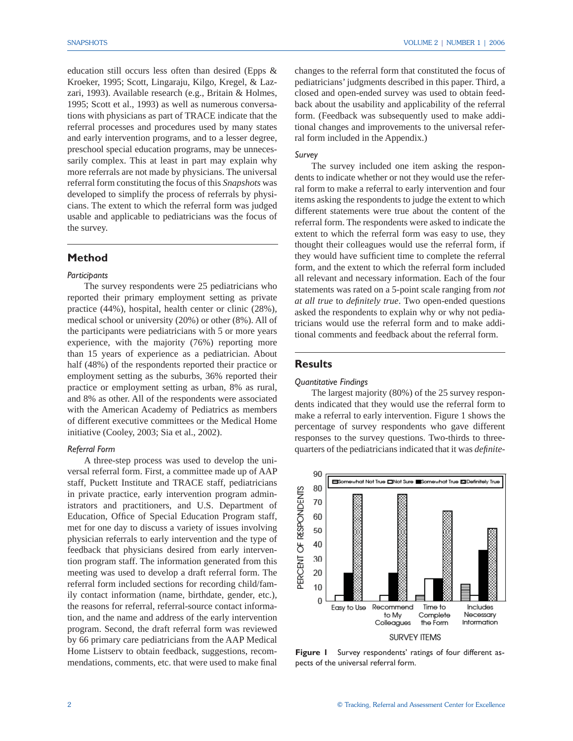education still occurs less often than desired (Epps & Kroeker, 1995; Scott, Lingaraju, Kilgo, Kregel, & Lazzari, 1993). Available research (e.g., Britain & Holmes, 1995; Scott et al., 1993) as well as numerous conversations with physicians as part of TRACE indicate that the referral processes and procedures used by many states and early intervention programs, and to a lesser degree, preschool special education programs, may be unnecessarily complex. This at least in part may explain why more referrals are not made by physicians. The universal referral form constituting the focus of this *Snapshots* was developed to simplify the process of referrals by physicians. The extent to which the referral form was judged usable and applicable to pediatricians was the focus of the survey.

## **Method**

#### *Participants*

 The survey respondents were 25 pediatricians who reported their primary employment setting as private practice (44%), hospital, health center or clinic (28%), medical school or university (20%) or other (8%). All of the participants were pediatricians with 5 or more years experience, with the majority (76%) reporting more than 15 years of experience as a pediatrician. About half (48%) of the respondents reported their practice or employment setting as the suburbs, 36% reported their practice or employment setting as urban, 8% as rural, and 8% as other. All of the respondents were associated with the American Academy of Pediatrics as members of different executive committees or the Medical Home initiative (Cooley, 2003; Sia et al., 2002).

#### *Referral Form*

 A three-step process was used to develop the universal referral form. First, a committee made up of AAP staff, Puckett Institute and TRACE staff, pediatricians in private practice, early intervention program administrators and practitioners, and U.S. Department of Education, Office of Special Education Program staff, met for one day to discuss a variety of issues involving physician referrals to early intervention and the type of feedback that physicians desired from early intervention program staff. The information generated from this meeting was used to develop a draft referral form. The referral form included sections for recording child/family contact information (name, birthdate, gender, etc.), the reasons for referral, referral-source contact information, and the name and address of the early intervention program. Second, the draft referral form was reviewed by 66 primary care pediatricians from the AAP Medical Home Listserv to obtain feedback, suggestions, recommendations, comments, etc. that were used to make final changes to the referral form that constituted the focus of pediatricians' judgments described in this paper. Third, a closed and open-ended survey was used to obtain feedback about the usability and applicability of the referral form. (Feedback was subsequently used to make additional changes and improvements to the universal referral form included in the Appendix.)

#### *Survey*

 The survey included one item asking the respondents to indicate whether or not they would use the referral form to make a referral to early intervention and four items asking the respondents to judge the extent to which different statements were true about the content of the referral form. The respondents were asked to indicate the extent to which the referral form was easy to use, they thought their colleagues would use the referral form, if they would have sufficient time to complete the referral form, and the extent to which the referral form included all relevant and necessary information. Each of the four statements was rated on a 5-point scale ranging from *not at all true* to *definitely true*. Two open-ended questions asked the respondents to explain why or why not pediatricians would use the referral form and to make additional comments and feedback about the referral form.

## **Results**

#### *Quantitative Findings*

 The largest majority (80%) of the 25 survey respondents indicated that they would use the referral form to make a referral to early intervention. Figure 1 shows the percentage of survey respondents who gave different responses to the survey questions. Two-thirds to threequarters of the pediatricians indicated that it was *definite*-



**Figure 1** Survey respondents' ratings of four different aspects of the universal referral form.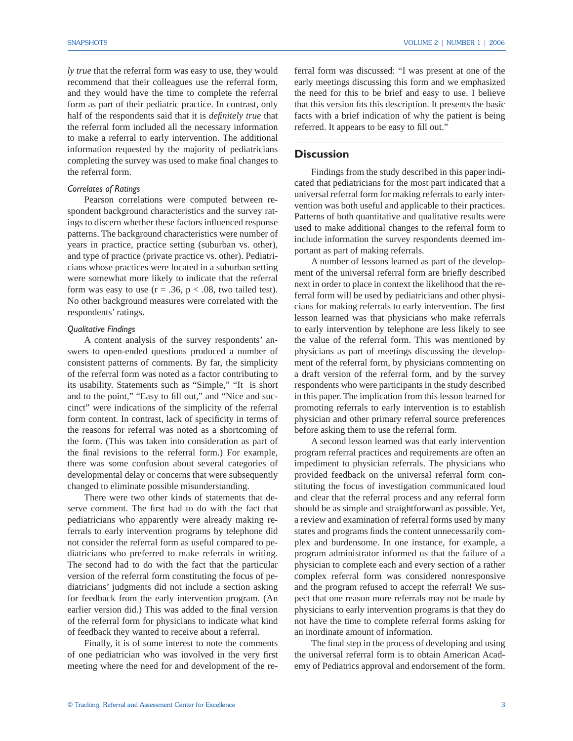*ly true* that the referral form was easy to use, they would recommend that their colleagues use the referral form, and they would have the time to complete the referral form as part of their pediatric practice. In contrast, only half of the respondents said that it is *definitely true* that the referral form included all the necessary information to make a referral to early intervention. The additional information requested by the majority of pediatricians completing the survey was used to make final changes to the referral form.

#### *Correlates of Ratings*

 Pearson correlations were computed between respondent background characteristics and the survey ratings to discern whether these factors influenced response patterns. The background characteristics were number of years in practice, practice setting (suburban vs. other), and type of practice (private practice vs. other). Pediatricians whose practices were located in a suburban setting were somewhat more likely to indicate that the referral form was easy to use  $(r = .36, p < .08,$  two tailed test). No other background measures were correlated with the respondents' ratings.

#### *Qualitative Findings*

 A content analysis of the survey respondents' answers to open-ended questions produced a number of consistent patterns of comments. By far, the simplicity of the referral form was noted as a factor contributing to its usability. Statements such as "Simple," "It is short and to the point," "Easy to fill out," and "Nice and succinct" were indications of the simplicity of the referral form content. In contrast, lack of specificity in terms of the reasons for referral was noted as a shortcoming of the form. (This was taken into consideration as part of the final revisions to the referral form.) For example, there was some confusion about several categories of developmental delay or concerns that were subsequently changed to eliminate possible misunderstanding.

 There were two other kinds of statements that deserve comment. The first had to do with the fact that pediatricians who apparently were already making referrals to early intervention programs by telephone did not consider the referral form as useful compared to pediatricians who preferred to make referrals in writing. The second had to do with the fact that the particular version of the referral form constituting the focus of pediatricians' judgments did not include a section asking for feedback from the early intervention program. (An earlier version did.) This was added to the final version of the referral form for physicians to indicate what kind of feedback they wanted to receive about a referral.

 Finally, it is of some interest to note the comments of one pediatrician who was involved in the very first meeting where the need for and development of the referral form was discussed: "I was present at one of the early meetings discussing this form and we emphasized the need for this to be brief and easy to use. I believe that this version fits this description. It presents the basic facts with a brief indication of why the patient is being referred. It appears to be easy to fill out."

# **Discussion**

 Findings from the study described in this paper indicated that pediatricians for the most part indicated that a universal referral form for making referrals to early intervention was both useful and applicable to their practices. Patterns of both quantitative and qualitative results were used to make additional changes to the referral form to include information the survey respondents deemed important as part of making referrals.

 A number of lessons learned as part of the development of the universal referral form are briefly described next in order to place in context the likelihood that the referral form will be used by pediatricians and other physicians for making referrals to early intervention. The first lesson learned was that physicians who make referrals to early intervention by telephone are less likely to see the value of the referral form. This was mentioned by physicians as part of meetings discussing the development of the referral form, by physicians commenting on a draft version of the referral form, and by the survey respondents who were participants in the study described in this paper. The implication from this lesson learned for promoting referrals to early intervention is to establish physician and other primary referral source preferences before asking them to use the referral form.

 A second lesson learned was that early intervention program referral practices and requirements are often an impediment to physician referrals. The physicians who provided feedback on the universal referral form constituting the focus of investigation communicated loud and clear that the referral process and any referral form should be as simple and straightforward as possible. Yet, a review and examination of referral forms used by many states and programs finds the content unnecessarily complex and burdensome. In one instance, for example, a program administrator informed us that the failure of a physician to complete each and every section of a rather complex referral form was considered nonresponsive and the program refused to accept the referral! We suspect that one reason more referrals may not be made by physicians to early intervention programs is that they do not have the time to complete referral forms asking for an inordinate amount of information.

The final step in the process of developing and using the universal referral form is to obtain American Academy of Pediatrics approval and endorsement of the form.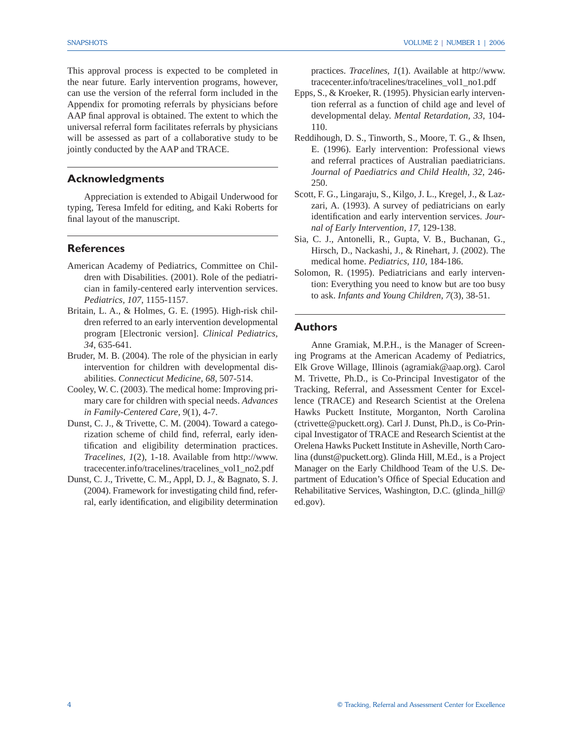This approval process is expected to be completed in the near future. Early intervention programs, however, can use the version of the referral form included in the Appendix for promoting referrals by physicians before AAP final approval is obtained. The extent to which the universal referral form facilitates referrals by physicians will be assessed as part of a collaborative study to be jointly conducted by the AAP and TRACE.

## **Acknowledgments**

 Appreciation is extended to Abigail Underwood for typing, Teresa Imfeld for editing, and Kaki Roberts for final layout of the manuscript.

## **References**

- American Academy of Pediatrics, Committee on Children with Disabilities. (2001). Role of the pediatrician in family-centered early intervention services. *Pediatrics, 107*, 1155-1157.
- Britain, L. A., & Holmes, G. E. (1995). High-risk children referred to an early intervention developmental program [Electronic version]. *Clinical Pediatrics, 34*, 635-641.
- Bruder, M. B. (2004). The role of the physician in early intervention for children with developmental disabilities. *Connecticut Medicine, 68*, 507-514.
- Cooley, W. C. (2003). The medical home: Improving primary care for children with special needs. *Advances in Family-Centered Care, 9*(1), 4-7.
- Dunst, C. J., & Trivette, C. M. (2004). Toward a categorization scheme of child find, referral, early identification and eligibility determination practices. *Tracelines, 1*(2), 1-18. Available from http://www. tracecenter.info/tracelines/tracelines\_vol1\_no2.pdf
- Dunst, C. J., Trivette, C. M., Appl, D. J., & Bagnato, S. J.  $(2004)$ . Framework for investigating child find, referral, early identification, and eligibility determination

practices. *Tracelines, 1*(1). Available at http://www. tracecenter.info/tracelines/tracelines\_vol1\_no1.pdf

- Epps, S., & Kroeker, R. (1995). Physician early intervention referral as a function of child age and level of developmental delay. *Mental Retardation, 33*, 104- 110.
- Reddihough, D. S., Tinworth, S., Moore, T. G., & Ihsen, E. (1996). Early intervention: Professional views and referral practices of Australian paediatricians. *Journal of Paediatrics and Child Health, 32*, 246- 250.
- Scott, F. G., Lingaraju, S., Kilgo, J. L., Kregel, J., & Lazzari, A. (1993). A survey of pediatricians on early identification and early intervention services. Jour*nal of Early Intervention, 17*, 129-138.
- Sia, C. J., Antonelli, R., Gupta, V. B., Buchanan, G., Hirsch, D., Nackashi, J., & Rinehart, J. (2002). The medical home. *Pediatrics, 110*, 184-186.
- Solomon, R. (1995). Pediatricians and early intervention: Everything you need to know but are too busy to ask. *Infants and Young Children, 7*(3), 38-51.

#### **Authors**

 Anne Gramiak, M.P.H., is the Manager of Screening Programs at the American Academy of Pediatrics, Elk Grove Willage, Illinois (agramiak@aap.org). Carol M. Trivette, Ph.D., is Co-Principal Investigator of the Tracking, Referral, and Assessment Center for Excellence (TRACE) and Research Scientist at the Orelena Hawks Puckett Institute, Morganton, North Carolina (ctrivette@puckett.org). Carl J. Dunst, Ph.D., is Co-Principal Investigator of TRACE and Research Scientist at the Orelena Hawks Puckett Institute in Asheville, North Carolina (dunst@puckett.org). Glinda Hill, M.Ed., is a Project Manager on the Early Childhood Team of the U.S. Department of Education's Office of Special Education and Rehabilitative Services, Washington, D.C. (glinda\_hill@ ed.gov).